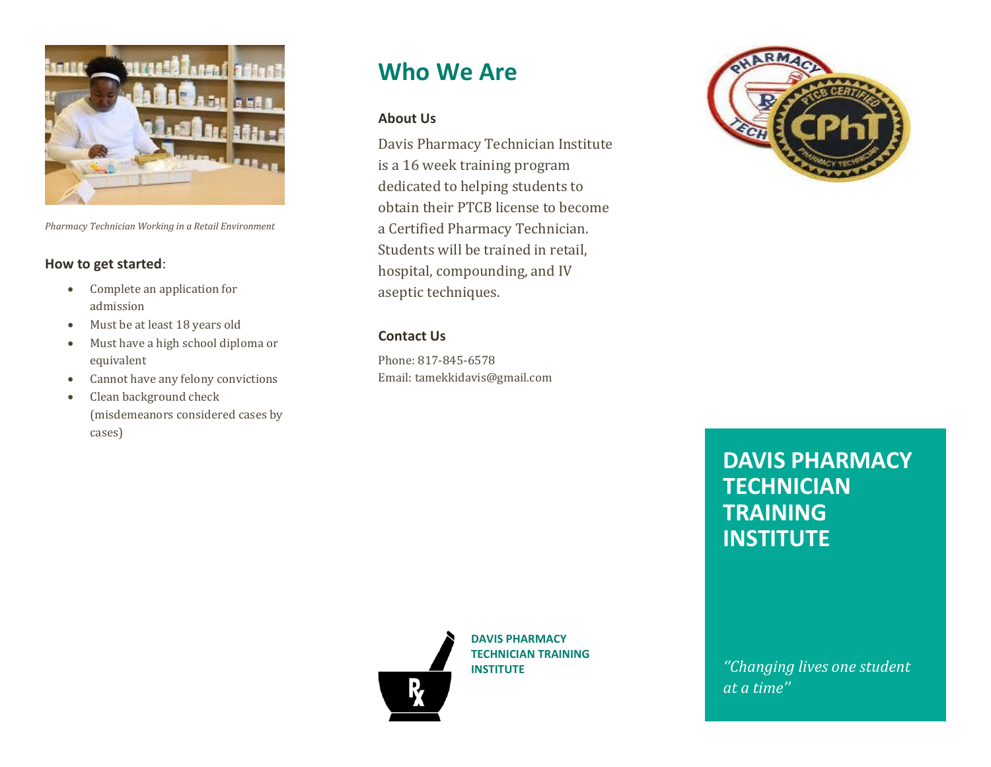

*Pharmacy Technician Working in a Retail Environment*

#### **How to get started**:

- Complete an application for admission
- Must be at least 18 years old
- Must have a high school diploma or equivalent
- Cannot have any felony convictions
- Clean background check (misdemeanors considered cases by cases)

# **Who We Are**

#### **About Us**

Davis Pharmacy Technician Institute is a 16 week training program dedicated to helping students to obtain their PTCB license to become a Certified Pharmacy Technician. Students will be trained in retail, hospital, compounding, and IV aseptic techniques.

#### **Contact Us**

Phone: 817-845-6578 Email: tamekkidavis@gmail.com



## **DAVIS PHARMACY TECHNICIAN TRAINING INSTITUTE**

**DAVIS PHARMACY TECHNICIAN TRAINING INSTITUTE**

*''Changing lives one student at a time''*